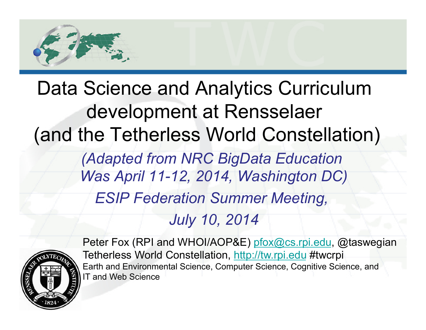

# Data Science and Analytics Curriculum development at Rensselaer (and the Tetherless World Constellation)

*(Adapted from NRC BigData Education Was April 11-12, 2014, Washington DC) ESIP Federation Summer Meeting,* 

*July 10, 2014* 



Peter Fox (RPI and WHOI/AOP&E) pfox@cs.rpi.edu, @taswegian Tetherless World Constellation, http://tw.rpi.edu #twcrpi Earth and Environmental Science, Computer Science, Cognitive Science, and IT and Web Science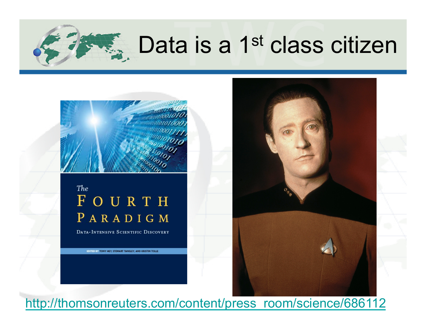### $\approx$  Data is a 1<sup>st</sup> class citizen



#### The FOURTH PARADIGM

DATA-INTENSIVE SCIENTIFIC DISCOVERY

EDITED BY TONY HEY, STEWART TANSLEY, AND KRISTIN TOLLE



*2* http://thomsonreuters.com/content/press\_room/science/686112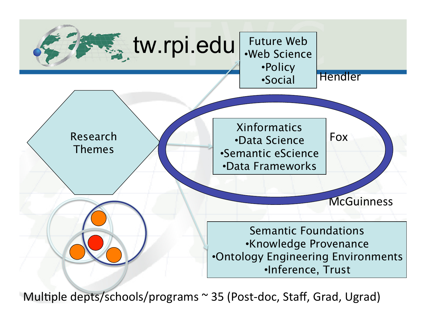

Multiple depts/schools/programs  $\sim$  35 (Post-doc, Staff, Grad, Ugrad)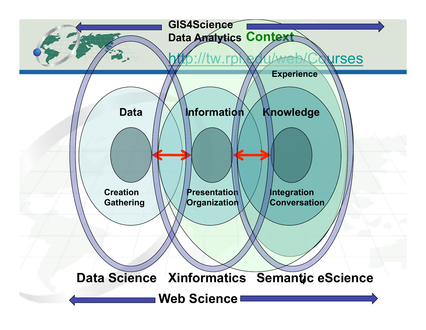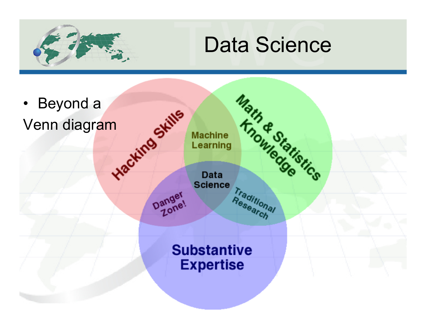

### Data Science

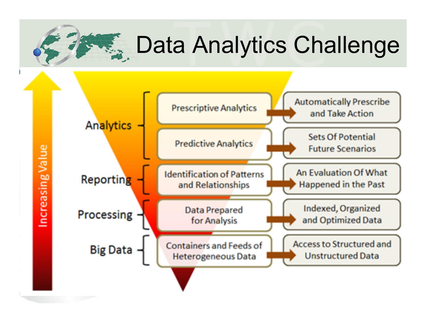#### **PEG.** Data Analytics Challenge

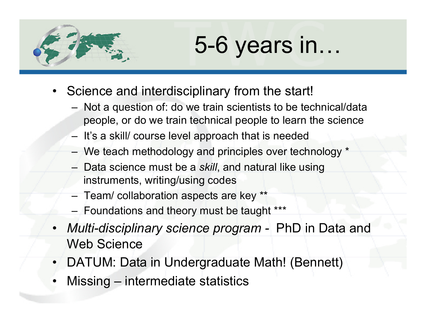

## 5-6 years in…

- Science and interdisciplinary from the start!
	- Not a question of: do we train scientists to be technical/data people, or do we train technical people to learn the science
	- It's a skill/ course level approach that is needed
	- We teach methodology and principles over technology \*
	- Data science must be a *skill*, and natural like using instruments, writing/using codes
	- Team/ collaboration aspects are key \*\*
	- Foundations and theory must be taught \*\*\*
- *Multi-disciplinary science program* PhD in Data and Web Science
- DATUM: Data in Undergraduate Math! (Bennett)
- Missing intermediate statistics